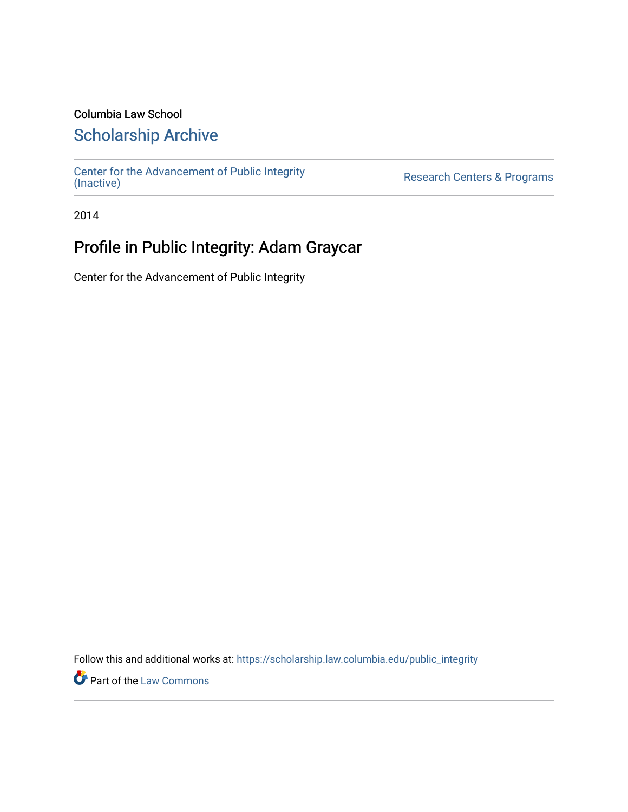## Columbia Law School

# [Scholarship Archive](https://scholarship.law.columbia.edu/)

[Center for the Advancement of Public Integrity](https://scholarship.law.columbia.edu/public_integrity)<br>(Inactive)

Research Centers & Programs

2014

# Profile in Public Integrity: Adam Graycar

Center for the Advancement of Public Integrity

Follow this and additional works at: [https://scholarship.law.columbia.edu/public\\_integrity](https://scholarship.law.columbia.edu/public_integrity?utm_source=scholarship.law.columbia.edu%2Fpublic_integrity%2F121&utm_medium=PDF&utm_campaign=PDFCoverPages)

**Part of the [Law Commons](http://network.bepress.com/hgg/discipline/578?utm_source=scholarship.law.columbia.edu%2Fpublic_integrity%2F121&utm_medium=PDF&utm_campaign=PDFCoverPages)**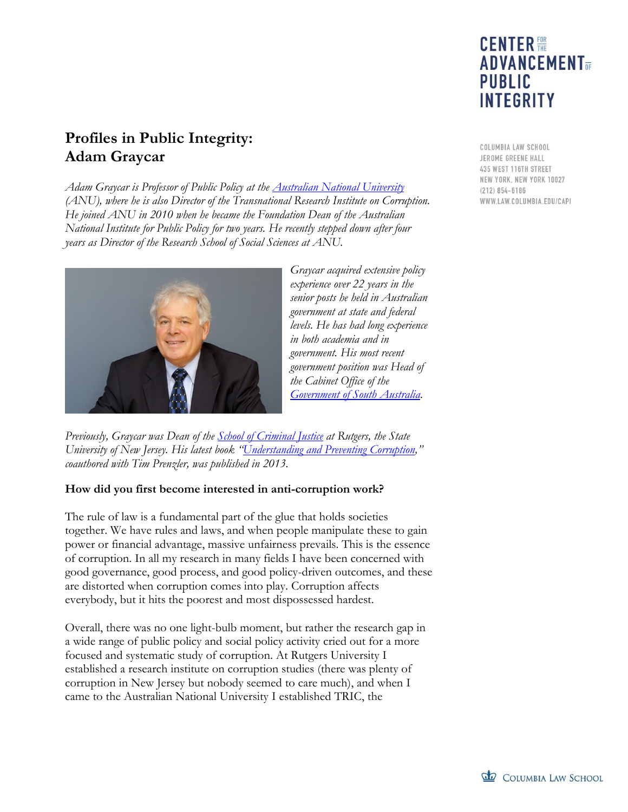# **CENTER 體 ADVANCEMENT**<sub>OF</sub> **PUBLIC INTEGRITY**

**Profiles in Public Integrity: Adam Graycar**

*Adam Graycar is Professor of Public Policy at the [Australian National University](http://www.anu.edu.au/) (ANU), where he is also Director of the Transnational Research Institute on Corruption. He joined ANU in 2010 when he became the Foundation Dean of the Australian National Institute for Public Policy for two years. He recently stepped down after four years as Director of the Research School of Social Sciences at ANU.*



*Graycar acquired extensive policy experience over 22 years in the senior posts he held in Australian government at state and federal levels. He has had long experience in both academia and in government. His most recent government position was Head of the Cabinet Office of the Government [of South Australia.](http://www.sa.gov.au/)*

*Previously, Graycar was Dean of the School of [Criminal Justice](http://rscj.newark.rutgers.edu/) at Rutgers, the State University of New Jersey. His latest book "[Understanding and Preventing Corruption](http://www.palgrave.com/page/detail/understanding-and-preventing-corruption-adam-graycar/?K=9781137335081)," coauthored with Tim Prenzler, was published in 2013.*

#### **How did you first become interested in anti-corruption work?**

The rule of law is a fundamental part of the glue that holds societies together. We have rules and laws, and when people manipulate these to gain power or financial advantage, massive unfairness prevails. This is the essence of corruption. In all my research in many fields I have been concerned with good governance, good process, and good policy-driven outcomes, and these are distorted when corruption comes into play. Corruption affects everybody, but it hits the poorest and most dispossessed hardest.

Overall, there was no one light-bulb moment, but rather the research gap in a wide range of public policy and social policy activity cried out for a more focused and systematic study of corruption. At Rutgers University I established a research institute on corruption studies (there was plenty of corruption in New Jersey but nobody seemed to care much), and when I came to the Australian National University I established TRIC, the

COLUMBIA LAW SCHOOL JEROME GREENE HALL 435 WEST 116TH STREET NEW YORK, NEW YORK 10027  $(212) 854 - 6186$ WWW.LAW.COLUMBIA.EDU/CAPI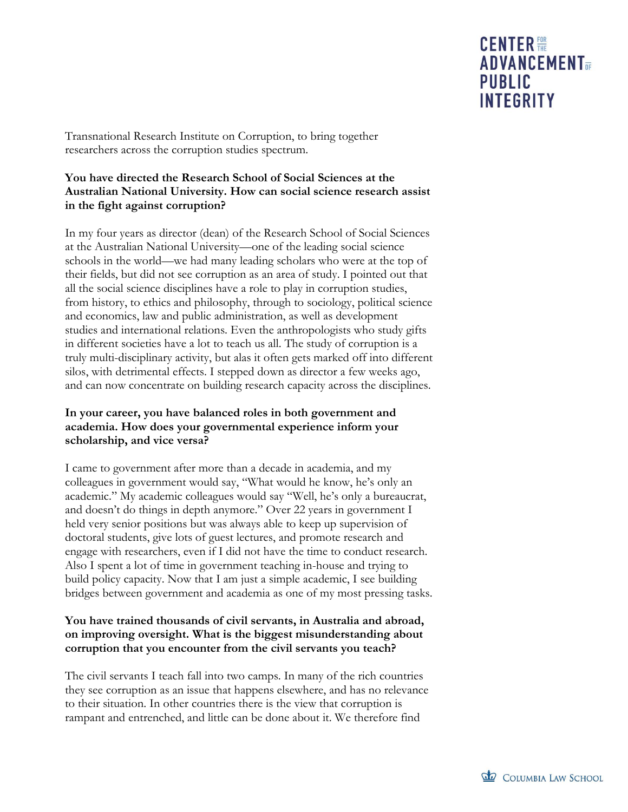Transnational Research Institute on Corruption, to bring together researchers across the corruption studies spectrum.

### **You have directed the Research School of Social Sciences at the Australian National University. How can social science research assist in the fight against corruption?**

In my four years as director (dean) of the Research School of Social Sciences at the Australian National University—one of the leading social science schools in the world—we had many leading scholars who were at the top of their fields, but did not see corruption as an area of study. I pointed out that all the social science disciplines have a role to play in corruption studies, from history, to ethics and philosophy, through to sociology, political science and economics, law and public administration, as well as development studies and international relations. Even the anthropologists who study gifts in different societies have a lot to teach us all. The study of corruption is a truly multi-disciplinary activity, but alas it often gets marked off into different silos, with detrimental effects. I stepped down as director a few weeks ago, and can now concentrate on building research capacity across the disciplines.

### **In your career, you have balanced roles in both government and academia. How does your governmental experience inform your scholarship, and vice versa?**

I came to government after more than a decade in academia, and my colleagues in government would say, "What would he know, he's only an academic." My academic colleagues would say "Well, he's only a bureaucrat, and doesn't do things in depth anymore." Over 22 years in government I held very senior positions but was always able to keep up supervision of doctoral students, give lots of guest lectures, and promote research and engage with researchers, even if I did not have the time to conduct research. Also I spent a lot of time in government teaching in-house and trying to build policy capacity. Now that I am just a simple academic, I see building bridges between government and academia as one of my most pressing tasks.

### **You have trained thousands of civil servants, in Australia and abroad, on improving oversight. What is the biggest misunderstanding about corruption that you encounter from the civil servants you teach?**

The civil servants I teach fall into two camps. In many of the rich countries they see corruption as an issue that happens elsewhere, and has no relevance to their situation. In other countries there is the view that corruption is rampant and entrenched, and little can be done about it. We therefore find